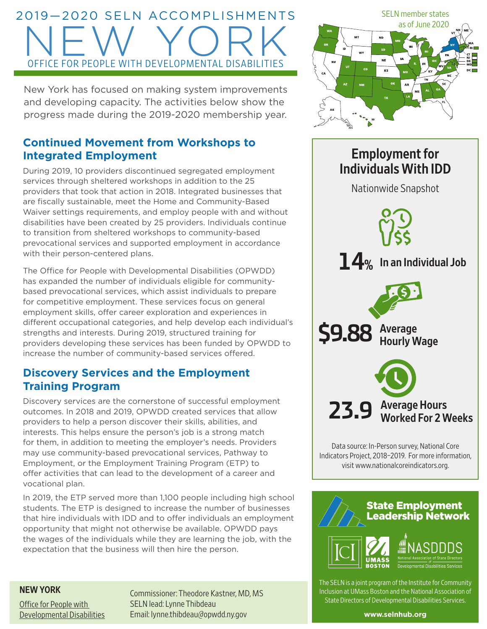# 2019—2020 SELN ACCOMPLISHMENTS NEW YORK OFFICE FOR PEOPLE WITH DEVELOPMENTAL DISABILITIES

New York has focused on making system improvements and developing capacity. The activities below show the progress made during the 2019-2020 membership year.

# **Continued Movement from Workshops to Integrated Employment**

During 2019, 10 providers discontinued segregated employment services through sheltered workshops in addition to the 25 providers that took that action in 2018. Integrated businesses that are fiscally sustainable, meet the Home and Community-Based Waiver settings requirements, and employ people with and without disabilities have been created by 25 providers. Individuals continue to transition from sheltered workshops to community-based prevocational services and supported employment in accordance with their person-centered plans.

The Office for People with Developmental Disabilities (OPWDD) has expanded the number of individuals eligible for communitybased prevocational services, which assist individuals to prepare for competitive employment. These services focus on general employment skills, offer career exploration and experiences in different occupational categories, and help develop each individual's strengths and interests. During 2019, structured training for providers developing these services has been funded by OPWDD to increase the number of community-based services offered.

# **Discovery Services and the Employment Training Program**

Discovery services are the cornerstone of successful employment outcomes. In 2018 and 2019, OPWDD created services that allow providers to help a person discover their skills, abilities, and interests. This helps ensure the person's job is a strong match for them, in addition to meeting the employer's needs. Providers may use community-based prevocational services, Pathway to Employment, or the Employment Training Program (ETP) to offer activities that can lead to the development of a career and vocational plan.

In 2019, the ETP served more than 1,100 people including high school students. The ETP is designed to increase the number of businesses that hire individuals with IDD and to offer individuals an employment opportunity that might not otherwise be available. OPWDD pays the wages of the individuals while they are learning the job, with the expectation that the business will then hire the person.

#### NEW YORK

[Office for People with](http://www.opwdd.ny.gov/)  [Developmental Disabilities](http://www.opwdd.ny.gov/) Commissioner: Theodore Kastner, MD, MS SELN lead: Lynne Thibdeau Email: [lynne.thibdeau@opwdd.ny.gov](mailto:lynne.thibdeau@opwdd.ny.gov)



# Employment for Individuals With IDD Nationwide Snapshot 23.9 Average Hours<br>Worked For 2 Weeks **14%** In an Individual Job **\$9.88** Average Hourly Wage

Data source: In-Person survey, National Core Indicators Project, 2018–2019. For more information, visit [www.nationalcoreindicators.org](http://www.nationalcoreindicators.org).



The SELN is a joint program of the Institute for Community Inclusion at UMass Boston and the National Association of State Directors of Developmental Disabilities Services.

**[www.selnhub.org](http://www.selnhub.org)**